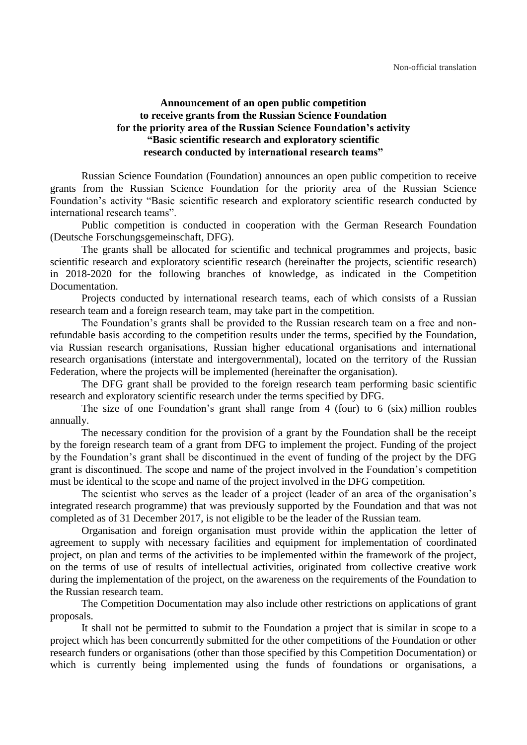## **Announcement of an open public competition to receive grants from the Russian Science Foundation for the priority area of the Russian Science Foundation's activity "Basic scientific research and exploratory scientific research conducted by international research teams"**

Russian Science Foundation (Foundation) announces an open public competition to receive grants from the Russian Science Foundation for the priority area of the Russian Science Foundation's activity "Basic scientific research and exploratory scientific research conducted by international research teams".

Public competition is conducted in cooperation with the German Research Foundation (Deutsche Forschungsgemeinschaft, DFG).

The grants shall be allocated for scientific and technical programmes and projects, basic scientific research and exploratory scientific research (hereinafter the projects, scientific research) in 2018-2020 for the following branches of knowledge, as indicated in the Competition Documentation.

Projects conducted by international research teams, each of which consists of a Russian research team and a foreign research team, may take part in the competition.

The Foundation's grants shall be provided to the Russian research team on a free and nonrefundable basis according to the competition results under the terms, specified by the Foundation, via Russian research organisations, Russian higher educational organisations and international research organisations (interstate and intergovernmental), located on the territory of the Russian Federation, where the projects will be implemented (hereinafter the organisation).

The DFG grant shall be provided to the foreign research team performing basic scientific research and exploratory scientific research under the terms specified by DFG.

The size of one Foundation's grant shall range from 4 (four) to 6 (six) million roubles annually.

The necessary condition for the provision of a grant by the Foundation shall be the receipt by the foreign research team of a grant from DFG to implement the project. Funding of the project by the Foundation's grant shall be discontinued in the event of funding of the project by the DFG grant is discontinued. The scope and name of the project involved in the Foundation's competition must be identical to the scope and name of the project involved in the DFG competition.

The scientist who serves as the leader of a project (leader of an area of the organisation's integrated research programme) that was previously supported by the Foundation and that was not completed as of 31 December 2017, is not eligible to be the leader of the Russian team.

Organisation and foreign organisation must provide within the application the letter of agreement to supply with necessary facilities and equipment for implementation of coordinated project, on plan and terms of the activities to be implemented within the framework of the project, on the terms of use of results of intellectual activities, originated from collective creative work during the implementation of the project, on the awareness on the requirements of the Foundation to the Russian research team.

The Competition Documentation may also include other restrictions on applications of grant proposals.

It shall not be permitted to submit to the Foundation a project that is similar in scope to a project which has been concurrently submitted for the other competitions of the Foundation or other research funders or organisations (other than those specified by this Competition Documentation) or which is currently being implemented using the funds of foundations or organisations, a